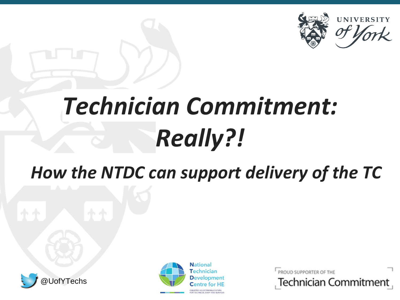

### *How the NTDC can support delivery of the TC*





PROUD SUPPORTER OF THE

**Technician Commitment**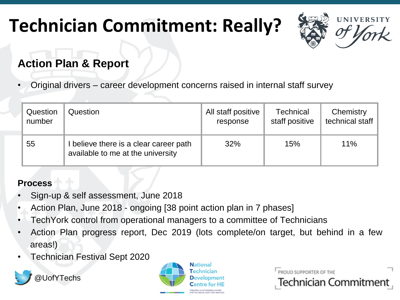

#### **Action Plan & Report**

• Original drivers – career development concerns raised in internal staff survey

| Question | Question                                                                    | All staff positive | <b>Technical</b> | Chemistry       |
|----------|-----------------------------------------------------------------------------|--------------------|------------------|-----------------|
| number   |                                                                             | response           | staff positive   | technical staff |
| 55       | I believe there is a clear career path<br>available to me at the university | 32%                | 15%              | 11%             |

#### **Process**

- Sign-up & self assessment, June 2018
- Action Plan, June 2018 ongoing [38 point action plan in 7 phases]
- TechYork control from operational managers to a committee of Technicians
- Action Plan progress report, Dec 2019 (lots complete/on target, but behind in a few areas!)
- Technician Festival Sept 2020





PROUD SUPPORTER OF THE

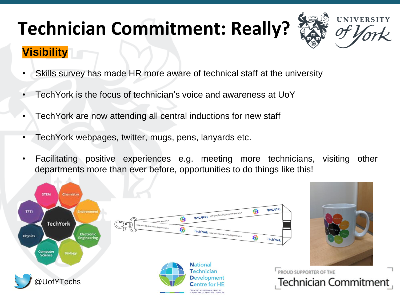# **UNIVERSITY**

#### **Visibility**

- Skills survey has made HR more aware of technical staff at the university
- TechYork is the focus of technician's voice and awareness at UoY
- TechYork are now attending all central inductions for new staff
- TechYork webpages, twitter, mugs, pens, lanyards etc.
- Facilitating positive experiences e.g. meeting more technicians, visiting other departments more than ever before, opportunities to do things like this!

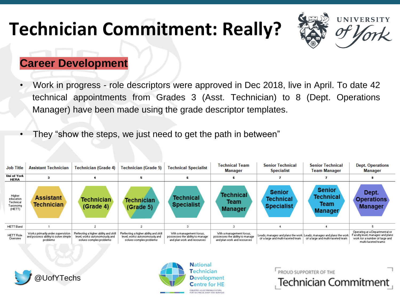

#### **Career Development**

- Work in progress role descriptors were approved in Dec 2018, live in April. To date 42 technical appointments from Grades 3 (Asst. Technician) to 8 (Dept. Operations Manager) have been made using the grade descriptor templates.
- They "show the steps, we just need to get the path in between"

| <b>Job Title</b>                                       | <b>Assistant Technician</b>                                                          | <b>Technician (Grade 4)</b>                                                                       | Technician (Grade 5)                                                                              | <b>Technical Specialist</b>                                                                | <b>Technical Team</b><br><b>Manager</b>                                                    | <b>Senior Technical</b><br><b>Specialist</b>           | <b>Senior Technical</b><br>Team Manager                                                                      | <b>Dept. Operations</b><br>Manager                                                                                          |
|--------------------------------------------------------|--------------------------------------------------------------------------------------|---------------------------------------------------------------------------------------------------|---------------------------------------------------------------------------------------------------|--------------------------------------------------------------------------------------------|--------------------------------------------------------------------------------------------|--------------------------------------------------------|--------------------------------------------------------------------------------------------------------------|-----------------------------------------------------------------------------------------------------------------------------|
| Uni of York<br><b>HERA</b>                             |                                                                                      |                                                                                                   |                                                                                                   |                                                                                            |                                                                                            |                                                        |                                                                                                              |                                                                                                                             |
| Higher<br>education<br>Technical<br>Taxonomy<br>(HETT) | Assistant<br><b>Technician</b>                                                       | <b>Technician</b><br>(Grade 4)                                                                    | <b>Technician</b><br>(Grade <sub>5</sub> )                                                        | <b>Technical</b><br><b>Specialist</b>                                                      | <b>Technical</b><br>Team<br><b>Manager</b>                                                 | <b>Senior</b><br><b>Technical</b><br><b>Specialist</b> | <b>Senior</b><br><b>Technical</b><br>Team<br><b>Manager</b>                                                  | Dept.<br><b>Operations</b><br><b>Manager</b>                                                                                |
| <b>HETT Band</b>                                       |                                                                                      |                                                                                                   |                                                                                                   |                                                                                            |                                                                                            |                                                        |                                                                                                              |                                                                                                                             |
| <b>HETT Role</b><br>Overview                           | Works primarily under supervision<br>and possess ability to solve simple<br>problems | Reflecting a higher ability and skill<br>level, works autonomously and<br>solves complex problems | Reflecting a higher ability and skill<br>level, works autonomously and<br>solves complex problems | With a management focus,<br>possesses the ability to manage<br>and plan work and resources | With a management focus,<br>possesses the ability to manage<br>and plan work and resources | of a large and multi-faceted team                      | Leads, manages and plans the work   Leads, manages and plans the work  <br>of a large and multi-faceted team | Operating at a Departmental or<br>Faculty level, manages and plans<br>work for a number of large and<br>multi-faceted teams |





**National** Technician **Development Centre for HE** ATING A SUSTAINABLE FUTURE HNICAL STAFF AND SE

PROUD SUPPORTER OF THE

**Technician Commitment**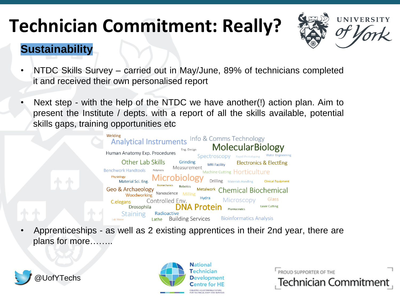

#### **Sustainability**

- NTDC Skills Survey carried out in May/June, 89% of technicians completed it and received their own personalised report
- Next step with the help of the NTDC we have another(!) action plan. Aim to present the Institute / depts. with a report of all the skills available, potential skills gaps, training opportunities etc



• Apprenticeships - as well as 2 existing apprentices in their 2nd year, there are plans for more……..





PROUD SUPPORTER OF THE **Technician Commitment**